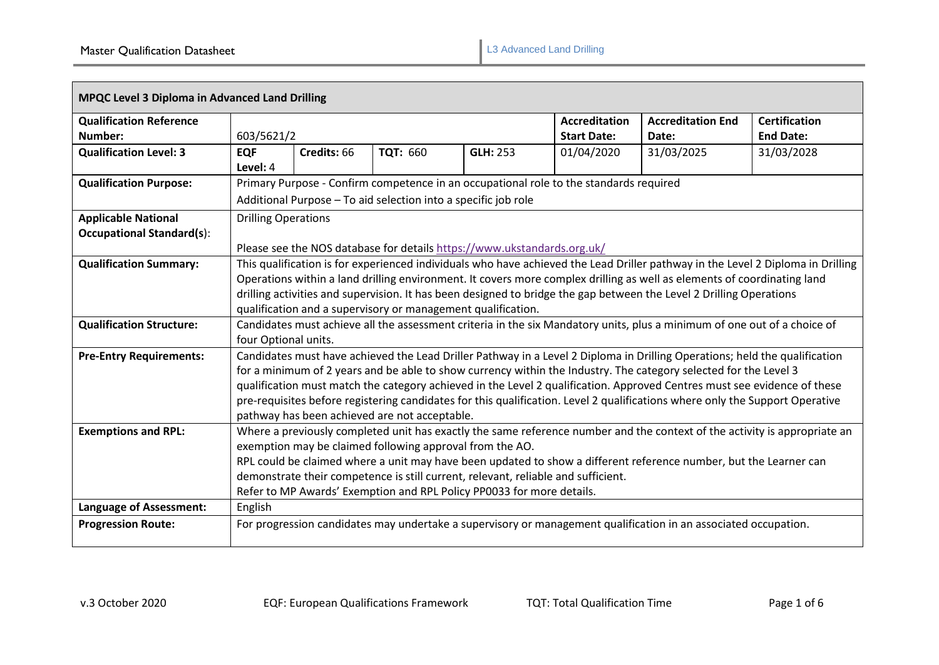| <b>MPQC Level 3 Diploma in Advanced Land Drilling</b>          |                                                                                                                                                                                                                                                                                                                                                                                                                                                                                                                                                             |                                                                                                       |                 |                                            |                                   |                                          |            |
|----------------------------------------------------------------|-------------------------------------------------------------------------------------------------------------------------------------------------------------------------------------------------------------------------------------------------------------------------------------------------------------------------------------------------------------------------------------------------------------------------------------------------------------------------------------------------------------------------------------------------------------|-------------------------------------------------------------------------------------------------------|-----------------|--------------------------------------------|-----------------------------------|------------------------------------------|------------|
| <b>Qualification Reference</b><br>Number:                      | 603/5621/2                                                                                                                                                                                                                                                                                                                                                                                                                                                                                                                                                  |                                                                                                       |                 | <b>Accreditation</b><br><b>Start Date:</b> | <b>Accreditation End</b><br>Date: | <b>Certification</b><br><b>End Date:</b> |            |
| <b>Qualification Level: 3</b>                                  | <b>EQF</b><br>Level: 4                                                                                                                                                                                                                                                                                                                                                                                                                                                                                                                                      | Credits: 66                                                                                           | <b>TQT: 660</b> | <b>GLH: 253</b>                            | 01/04/2020                        | 31/03/2025                               | 31/03/2028 |
| <b>Qualification Purpose:</b>                                  | Primary Purpose - Confirm competence in an occupational role to the standards required<br>Additional Purpose - To aid selection into a specific job role                                                                                                                                                                                                                                                                                                                                                                                                    |                                                                                                       |                 |                                            |                                   |                                          |            |
| <b>Applicable National</b><br><b>Occupational Standard(s):</b> |                                                                                                                                                                                                                                                                                                                                                                                                                                                                                                                                                             | <b>Drilling Operations</b><br>Please see the NOS database for details https://www.ukstandards.org.uk/ |                 |                                            |                                   |                                          |            |
| <b>Qualification Summary:</b>                                  | This qualification is for experienced individuals who have achieved the Lead Driller pathway in the Level 2 Diploma in Drilling<br>Operations within a land drilling environment. It covers more complex drilling as well as elements of coordinating land<br>drilling activities and supervision. It has been designed to bridge the gap between the Level 2 Drilling Operations<br>qualification and a supervisory or management qualification.                                                                                                           |                                                                                                       |                 |                                            |                                   |                                          |            |
| <b>Qualification Structure:</b>                                | Candidates must achieve all the assessment criteria in the six Mandatory units, plus a minimum of one out of a choice of<br>four Optional units.                                                                                                                                                                                                                                                                                                                                                                                                            |                                                                                                       |                 |                                            |                                   |                                          |            |
| <b>Pre-Entry Requirements:</b>                                 | Candidates must have achieved the Lead Driller Pathway in a Level 2 Diploma in Drilling Operations; held the qualification<br>for a minimum of 2 years and be able to show currency within the Industry. The category selected for the Level 3<br>qualification must match the category achieved in the Level 2 qualification. Approved Centres must see evidence of these<br>pre-requisites before registering candidates for this qualification. Level 2 qualifications where only the Support Operative<br>pathway has been achieved are not acceptable. |                                                                                                       |                 |                                            |                                   |                                          |            |
| <b>Exemptions and RPL:</b>                                     | Where a previously completed unit has exactly the same reference number and the context of the activity is appropriate an<br>exemption may be claimed following approval from the AO.<br>RPL could be claimed where a unit may have been updated to show a different reference number, but the Learner can<br>demonstrate their competence is still current, relevant, reliable and sufficient.<br>Refer to MP Awards' Exemption and RPL Policy PP0033 for more details.                                                                                    |                                                                                                       |                 |                                            |                                   |                                          |            |
| <b>Language of Assessment:</b>                                 | English                                                                                                                                                                                                                                                                                                                                                                                                                                                                                                                                                     |                                                                                                       |                 |                                            |                                   |                                          |            |
| <b>Progression Route:</b>                                      | For progression candidates may undertake a supervisory or management qualification in an associated occupation.                                                                                                                                                                                                                                                                                                                                                                                                                                             |                                                                                                       |                 |                                            |                                   |                                          |            |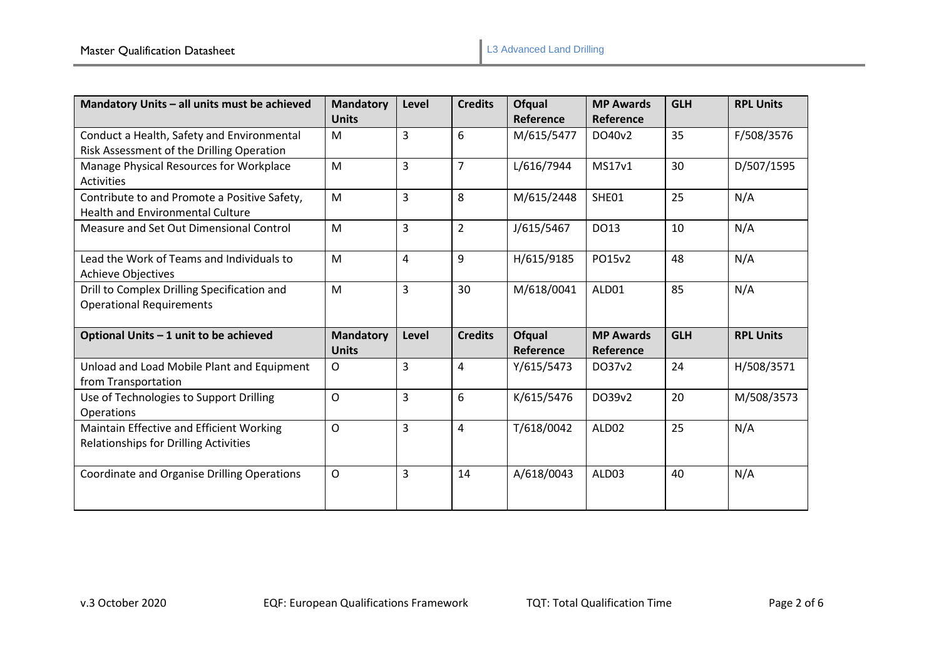| Mandatory Units - all units must be achieved | <b>Mandatory</b> | Level          | <b>Credits</b> | <b>Ofqual</b> | <b>MP Awards</b> | <b>GLH</b> | <b>RPL Units</b> |
|----------------------------------------------|------------------|----------------|----------------|---------------|------------------|------------|------------------|
|                                              | <b>Units</b>     |                |                | Reference     | Reference        |            |                  |
| Conduct a Health, Safety and Environmental   | M                | 3              | 6              | M/615/5477    | DO40v2           | 35         | F/508/3576       |
| Risk Assessment of the Drilling Operation    |                  |                |                |               |                  |            |                  |
| Manage Physical Resources for Workplace      | M                | 3              | $\overline{7}$ | L/616/7944    | MS17v1           | 30         | D/507/1595       |
| <b>Activities</b>                            |                  |                |                |               |                  |            |                  |
| Contribute to and Promote a Positive Safety, | M                | $\overline{3}$ | 8              | M/615/2448    | SHE01            | 25         | N/A              |
| <b>Health and Environmental Culture</b>      |                  |                |                |               |                  |            |                  |
| Measure and Set Out Dimensional Control      | M                | 3              | $\overline{2}$ | J/615/5467    | DO13             | 10         | N/A              |
|                                              |                  |                |                |               |                  |            |                  |
| Lead the Work of Teams and Individuals to    | M                | 4              | 9              | H/615/9185    | PO15v2           | 48         | N/A              |
| <b>Achieve Objectives</b>                    |                  |                |                |               |                  |            |                  |
| Drill to Complex Drilling Specification and  | M                | 3              | 30             | M/618/0041    | ALD01            | 85         | N/A              |
| <b>Operational Requirements</b>              |                  |                |                |               |                  |            |                  |
|                                              |                  |                |                |               |                  |            |                  |
| Optional Units - 1 unit to be achieved       | <b>Mandatory</b> | Level          | <b>Credits</b> | <b>Ofqual</b> | <b>MP Awards</b> | <b>GLH</b> | <b>RPL Units</b> |
|                                              | <b>Units</b>     |                |                | Reference     | Reference        |            |                  |
| Unload and Load Mobile Plant and Equipment   | $\mathsf{O}$     | 3              | 4              | Y/615/5473    | DO37v2           | 24         | H/508/3571       |
| from Transportation                          |                  |                |                |               |                  |            |                  |
| Use of Technologies to Support Drilling      | O                | $\overline{3}$ | 6              | K/615/5476    | DO39v2           | 20         | M/508/3573       |
| Operations                                   |                  |                |                |               |                  |            |                  |
| Maintain Effective and Efficient Working     | $\mathsf{O}$     | 3              | 4              | T/618/0042    | ALD02            | 25         | N/A              |
| Relationships for Drilling Activities        |                  |                |                |               |                  |            |                  |
|                                              |                  |                |                |               |                  |            |                  |
| Coordinate and Organise Drilling Operations  | $\mathsf{O}$     | $\overline{3}$ | 14             | A/618/0043    | ALD03            | 40         | N/A              |
|                                              |                  |                |                |               |                  |            |                  |
|                                              |                  |                |                |               |                  |            |                  |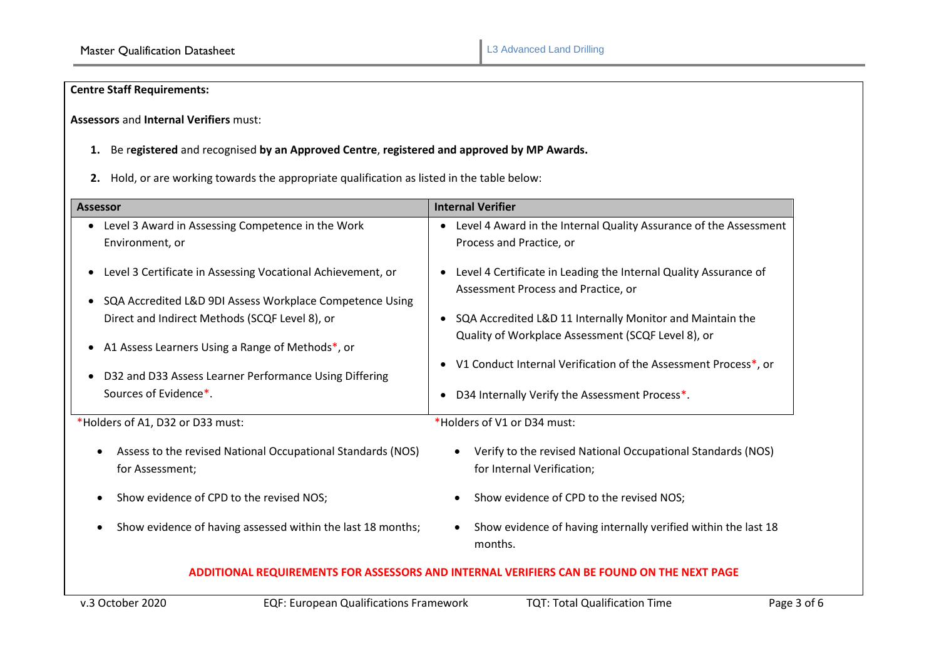# **Centre Staff Requirements:**

**Assessors** and **Internal Verifiers** must:

- **1.** Be r**egistered** and recognised **by an Approved Centre**, **registered and approved by MP Awards.**
- **2.** Hold, or are working towards the appropriate qualification as listed in the table below:

| <b>Assessor</b>                                                                            | <b>Internal Verifier</b>                                                                                              |  |  |  |  |
|--------------------------------------------------------------------------------------------|-----------------------------------------------------------------------------------------------------------------------|--|--|--|--|
| Level 3 Award in Assessing Competence in the Work                                          | Level 4 Award in the Internal Quality Assurance of the Assessment                                                     |  |  |  |  |
| Environment, or                                                                            | Process and Practice, or                                                                                              |  |  |  |  |
| Level 3 Certificate in Assessing Vocational Achievement, or                                | Level 4 Certificate in Leading the Internal Quality Assurance of<br>Assessment Process and Practice, or               |  |  |  |  |
| SQA Accredited L&D 9DI Assess Workplace Competence Using                                   |                                                                                                                       |  |  |  |  |
| Direct and Indirect Methods (SCQF Level 8), or                                             | SQA Accredited L&D 11 Internally Monitor and Maintain the                                                             |  |  |  |  |
| A1 Assess Learners Using a Range of Methods*, or                                           | Quality of Workplace Assessment (SCQF Level 8), or<br>V1 Conduct Internal Verification of the Assessment Process*, or |  |  |  |  |
| D32 and D33 Assess Learner Performance Using Differing                                     |                                                                                                                       |  |  |  |  |
| Sources of Evidence*.                                                                      | D34 Internally Verify the Assessment Process*.                                                                        |  |  |  |  |
| *Holders of A1, D32 or D33 must:                                                           | *Holders of V1 or D34 must:                                                                                           |  |  |  |  |
| Assess to the revised National Occupational Standards (NOS)<br>for Assessment;             | Verify to the revised National Occupational Standards (NOS)<br>$\bullet$<br>for Internal Verification;                |  |  |  |  |
| Show evidence of CPD to the revised NOS;                                                   | Show evidence of CPD to the revised NOS;<br>$\bullet$                                                                 |  |  |  |  |
| Show evidence of having assessed within the last 18 months;                                | Show evidence of having internally verified within the last 18<br>$\bullet$<br>months.                                |  |  |  |  |
| ADDITIONAL REQUIREMENTS FOR ASSESSORS AND INTERNAL VERIFIERS CAN BE FOUND ON THE NEXT PAGE |                                                                                                                       |  |  |  |  |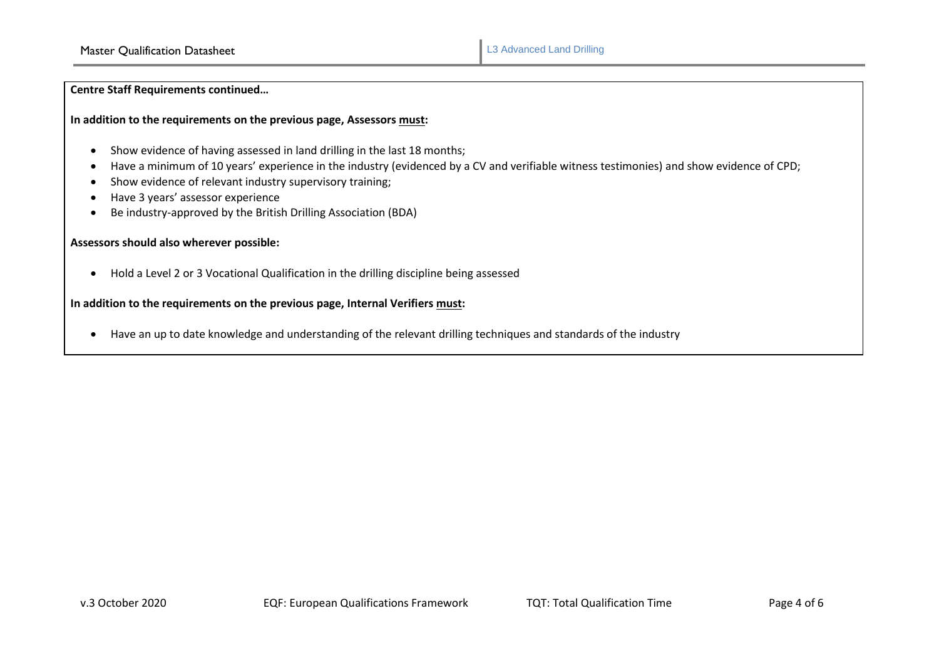**Centre Staff Requirements continued…**

## **In addition to the requirements on the previous page, Assessors must:**

- Show evidence of having assessed in land drilling in the last 18 months;
- Have a minimum of 10 years' experience in the industry (evidenced by a CV and verifiable witness testimonies) and show evidence of CPD;
- Show evidence of relevant industry supervisory training;
- Have 3 years' assessor experience
- Be industry-approved by the British Drilling Association (BDA)

# **Assessors should also wherever possible:**

• Hold a Level 2 or 3 Vocational Qualification in the drilling discipline being assessed

# **In addition to the requirements on the previous page, Internal Verifiers must:**

• Have an up to date knowledge and understanding of the relevant drilling techniques and standards of the industry